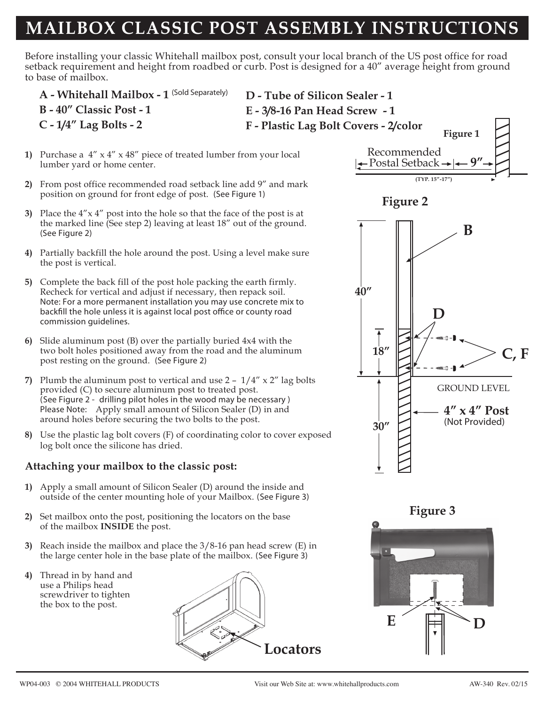## **MAILBOX CLASSIC POST ASSEMBLY INSTRUCTIONS**

Before installing your classic Whitehall mailbox post, consult your local branch of the US post office for road setback requirement and height from roadbed or curb. Post is designed for a 40" average height from ground to base of mailbox.

- **Figure 1 A - Whitehall Mailbox - 1** *(Sold Separately)* **B - 40" Classic Post - 1 C - 1/4" Lag Bolts - 2 D - Tube of Silicon Sealer - 1 E - 3/8-16 Pan Head Screw - 1 F - Plastic Lag Bolt Covers - 2/color**
- **1)** Purchase a 4" x 4" x 48" piece of treated lumber from your local lumber yard or home center.
- **2)** From post office recommended road setback line add 9" and mark position on ground for front edge of post. *(See Figure 1)*
- **3)** Place the 4"x 4" post into the hole so that the face of the post is at the marked line (See step 2) leaving at least 18" out of the ground. *(See Figure 2)*
- **4)** Partially backfill the hole around the post. Using a level make sure the post is vertical.
- **5)** Complete the back fill of the post hole packing the earth firmly. Recheck for vertical and adjust if necessary, then repack soil. *Note: For a more permanent installation you may use concrete mix to* backfill the hole unless it is against local post office or county road *commission guidelines.*
- **6)** Slide aluminum post (B) over the partially buried 4x4 with the two bolt holes positioned away from the road and the aluminum post resting on the ground. *(See Figure 2)*
- **7)** Plumb the aluminum post to vertical and use 2 1/4" x 2" lag bolts provided (C) to secure aluminum post to treated post. *(See Figure 2 - drilling pilot holes in the wood may be necessary ) Please Note:* Apply small amount of Silicon Sealer (D) in and around holes before securing the two bolts to the post.
- **8)** Use the plastic lag bolt covers (F) of coordinating color to cover exposed log bolt once the silicone has dried.

## **Attaching your mailbox to the classic post:**

- **1)** Apply a small amount of Silicon Sealer (D) around the inside and outside of the center mounting hole of your Mailbox. *(See Figure 3)*
- **2)** Set mailbox onto the post, positioning the locators on the base of the mailbox **INSIDE** the post.
- **3)** Reach inside the mailbox and place the 3/8-16 pan head screw (E) in the large center hole in the base plate of the mailbox. *(See Figure 3)*
- **4)** Thread in by hand and use a Philips head screwdriver to tighten the box to the post.